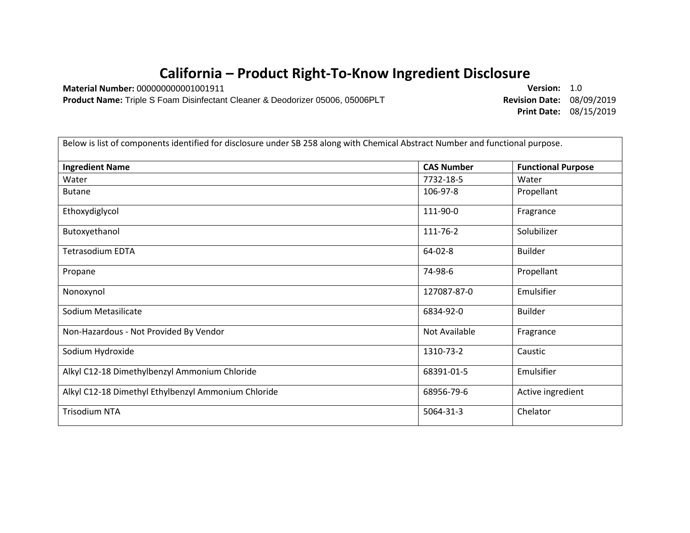## **California – Product Right-To-Know Ingredient Disclosure**

**Material Number:** 000000000001001911 **Version:** 1.0 **Product Name:** Triple S Foam Disinfectant Cleaner & Deodorizer 05006, 05006PLT

**Print Date:** 08/15/2019

| Below is list of components identified for disclosure under SB 258 along with Chemical Abstract Number and functional purpose. |                   |                           |
|--------------------------------------------------------------------------------------------------------------------------------|-------------------|---------------------------|
| <b>Ingredient Name</b>                                                                                                         | <b>CAS Number</b> | <b>Functional Purpose</b> |
| Water                                                                                                                          | 7732-18-5         | Water                     |
| <b>Butane</b>                                                                                                                  | 106-97-8          | Propellant                |
| Ethoxydiglycol                                                                                                                 | 111-90-0          | Fragrance                 |
| Butoxyethanol                                                                                                                  | 111-76-2          | Solubilizer               |
| <b>Tetrasodium EDTA</b>                                                                                                        | $64 - 02 - 8$     | <b>Builder</b>            |
| Propane                                                                                                                        | 74-98-6           | Propellant                |
| Nonoxynol                                                                                                                      | 127087-87-0       | Emulsifier                |
| Sodium Metasilicate                                                                                                            | 6834-92-0         | <b>Builder</b>            |
| Non-Hazardous - Not Provided By Vendor                                                                                         | Not Available     | Fragrance                 |
| Sodium Hydroxide                                                                                                               | 1310-73-2         | Caustic                   |
| Alkyl C12-18 Dimethylbenzyl Ammonium Chloride                                                                                  | 68391-01-5        | Emulsifier                |
| Alkyl C12-18 Dimethyl Ethylbenzyl Ammonium Chloride                                                                            | 68956-79-6        | Active ingredient         |
| <b>Trisodium NTA</b>                                                                                                           | 5064-31-3         | Chelator                  |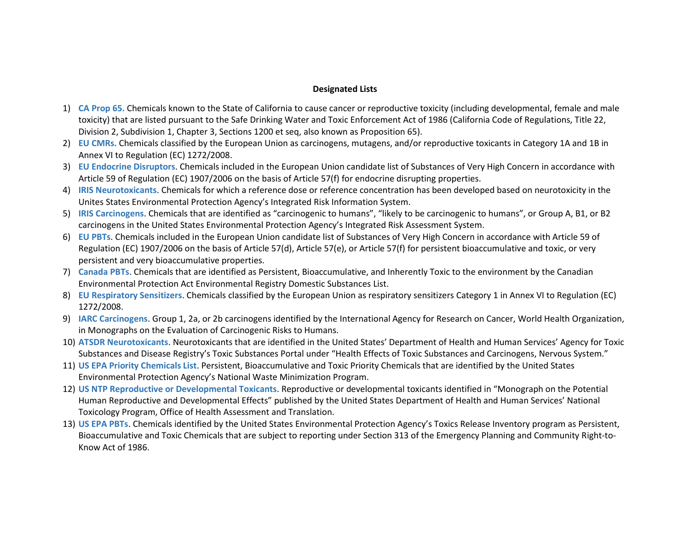## **Designated Lists**

- 1) **CA Prop 65.** Chemicals known to the State of California to cause cancer or reproductive toxicity (including developmental, female and male toxicity) that are listed pursuant to the Safe Drinking Water and Toxic Enforcement Act of 1986 (California Code of Regulations, Title 22, Division 2, Subdivision 1, Chapter 3, Sections 1200 et seq, also known as Proposition 65).
- 2) **EU CMRs.** Chemicals classified by the European Union as carcinogens, mutagens, and/or reproductive toxicants in Category 1A and 1B in Annex VI to Regulation (EC) 1272/2008.
- 3) **EU Endocrine Disruptors**. Chemicals included in the European Union candidate list of Substances of Very High Concern in accordance with Article 59 of Regulation (EC) 1907/2006 on the basis of Article 57(f) for endocrine disrupting properties.
- 4) **IRIS Neurotoxicants**. Chemicals for which a reference dose or reference concentration has been developed based on neurotoxicity in the Unites States Environmental Protection Agency's Integrated Risk Information System.
- 5) **IRIS Carcinogens**. Chemicals that are identified as "carcinogenic to humans", "likely to be carcinogenic to humans", or Group A, B1, or B2 carcinogens in the United States Environmental Protection Agency's Integrated Risk Assessment System.
- 6) **EU PBTs**. Chemicals included in the European Union candidate list of Substances of Very High Concern in accordance with Article 59 of Regulation (EC) 1907/2006 on the basis of Article 57(d), Article 57(e), or Article 57(f) for persistent bioaccumulative and toxic, or very persistent and very bioaccumulative properties.
- 7) **Canada PBTs**. Chemicals that are identified as Persistent, Bioaccumulative, and Inherently Toxic to the environment by the Canadian Environmental Protection Act Environmental Registry Domestic Substances List.
- 8) **EU Respiratory Sensitizers**. Chemicals classified by the European Union as respiratory sensitizers Category 1 in Annex VI to Regulation (EC) 1272/2008.
- 9) **IARC Carcinogens**. Group 1, 2a, or 2b carcinogens identified by the International Agency for Research on Cancer, World Health Organization, in Monographs on the Evaluation of Carcinogenic Risks to Humans.
- 10) **ATSDR Neurotoxicants**. Neurotoxicants that are identified in the United States' Department of Health and Human Services' Agency for Toxic Substances and Disease Registry's Toxic Substances Portal under "Health Effects of Toxic Substances and Carcinogens, Nervous System."
- 11) **US EPA Priority Chemicals List**. Persistent, Bioaccumulative and Toxic Priority Chemicals that are identified by the United States Environmental Protection Agency's National Waste Minimization Program.
- 12) **US NTP Reproductive or Developmental Toxicants**. Reproductive or developmental toxicants identified in "Monograph on the Potential Human Reproductive and Developmental Effects" published by the United States Department of Health and Human Services' National Toxicology Program, Office of Health Assessment and Translation.
- 13) **US EPA PBTs**. Chemicals identified by the United States Environmental Protection Agency's Toxics Release Inventory program as Persistent, Bioaccumulative and Toxic Chemicals that are subject to reporting under Section 313 of the Emergency Planning and Community Right-to-Know Act of 1986.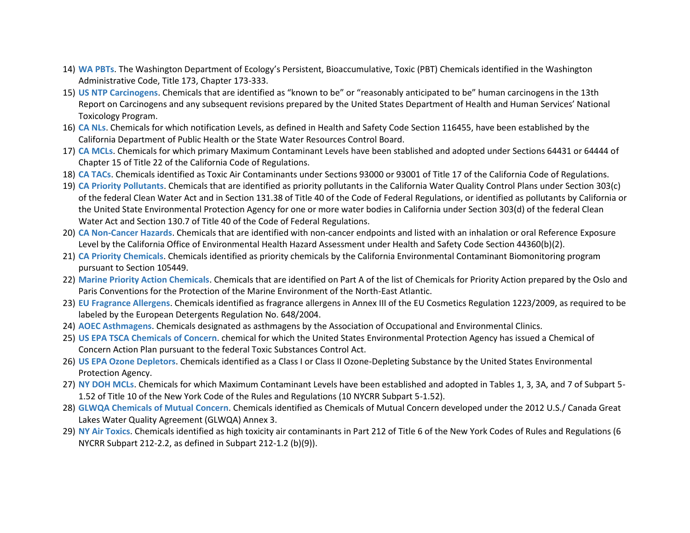- 14) **WA PBTs**. The Washington Department of Ecology's Persistent, Bioaccumulative, Toxic (PBT) Chemicals identified in the Washington Administrative Code, Title 173, Chapter 173-333.
- 15) **US NTP Carcinogens**. Chemicals that are identified as "known to be" or "reasonably anticipated to be" human carcinogens in the 13th Report on Carcinogens and any subsequent revisions prepared by the United States Department of Health and Human Services' National Toxicology Program.
- 16) **CA NLs**. Chemicals for which notification Levels, as defined in Health and Safety Code Section 116455, have been established by the California Department of Public Health or the State Water Resources Control Board.
- 17) **CA MCLs**. Chemicals for which primary Maximum Contaminant Levels have been stablished and adopted under Sections 64431 or 64444 of Chapter 15 of Title 22 of the California Code of Regulations.
- 18) **CA TACs**. Chemicals identified as Toxic Air Contaminants under Sections 93000 or 93001 of Title 17 of the California Code of Regulations.
- 19) **CA Priority Pollutants**. Chemicals that are identified as priority pollutants in the California Water Quality Control Plans under Section 303(c) of the federal Clean Water Act and in Section 131.38 of Title 40 of the Code of Federal Regulations, or identified as pollutants by California or the United State Environmental Protection Agency for one or more water bodies in California under Section 303(d) of the federal Clean Water Act and Section 130.7 of Title 40 of the Code of Federal Regulations.
- 20) **CA Non-Cancer Hazards**. Chemicals that are identified with non-cancer endpoints and listed with an inhalation or oral Reference Exposure Level by the California Office of Environmental Health Hazard Assessment under Health and Safety Code Section 44360(b)(2).
- 21) **CA Priority Chemicals**. Chemicals identified as priority chemicals by the California Environmental Contaminant Biomonitoring program pursuant to Section 105449.
- 22) **Marine Priority Action Chemicals**. Chemicals that are identified on Part A of the list of Chemicals for Priority Action prepared by the Oslo and Paris Conventions for the Protection of the Marine Environment of the North-East Atlantic.
- 23) **EU Fragrance Allergens**. Chemicals identified as fragrance allergens in Annex III of the EU Cosmetics Regulation 1223/2009, as required to be labeled by the European Detergents Regulation No. 648/2004.
- 24) **AOEC Asthmagens**. Chemicals designated as asthmagens by the Association of Occupational and Environmental Clinics.
- 25) **US EPA TSCA Chemicals of Concern**. chemical for which the United States Environmental Protection Agency has issued a Chemical of Concern Action Plan pursuant to the federal Toxic Substances Control Act.
- 26) **US EPA Ozone Depletors**. Chemicals identified as a Class I or Class II Ozone-Depleting Substance by the United States Environmental Protection Agency.
- 27) **NY DOH MCLs**. Chemicals for which Maximum Contaminant Levels have been established and adopted in Tables 1, 3, 3A, and 7 of Subpart 5- 1.52 of Title 10 of the New York Code of the Rules and Regulations (10 NYCRR Subpart 5-1.52).
- 28) **GLWQA Chemicals of Mutual Concern**. Chemicals identified as Chemicals of Mutual Concern developed under the 2012 U.S./ Canada Great Lakes Water Quality Agreement (GLWQA) Annex 3.
- 29) **NY Air Toxics**. Chemicals identified as high toxicity air contaminants in Part 212 of Title 6 of the New York Codes of Rules and Regulations (6 NYCRR Subpart 212-2.2, as defined in Subpart 212-1.2 (b)(9)).